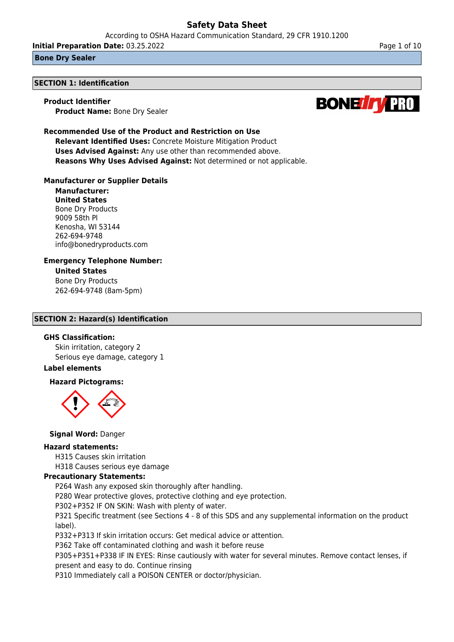According to OSHA Hazard Communication Standard, 29 CFR 1910.1200

**Initial Preparation Date:** 03.25.2022 **Page 1 of 10** Page 1 of 10

## **Bone Dry Sealer**

#### **SECTION 1: Identification**

#### **Product Identifier**

**Product Name:** Bone Dry Sealer

# **Recommended Use of the Product and Restriction on Use**

**Relevant Identified Uses:** Concrete Moisture Mitigation Product **Uses Advised Against:** Any use other than recommended above. **Reasons Why Uses Advised Against:** Not determined or not applicable.

## **Manufacturer or Supplier Details**

**Manufacturer: United States** Bone Dry Products 9009 58th Pl Kenosha, WI 53144 262-694-9748 info@bonedryproducts.com

#### **Emergency Telephone Number: United States**

Bone Dry Products 262-694-9748 (8am-5pm)

## **SECTION 2: Hazard(s) Identification**

## **GHS Classification:**

Skin irritation, category 2 Serious eye damage, category 1

# **Label elements**

# **Hazard Pictograms:**



## **Signal Word:** Danger

## **Hazard statements:**

H315 Causes skin irritation

H318 Causes serious eye damage

## **Precautionary Statements:**

P264 Wash any exposed skin thoroughly after handling.

P280 Wear protective gloves, protective clothing and eye protection.

P302+P352 IF ON SKIN: Wash with plenty of water.

P321 Specific treatment (see Sections 4 - 8 of this SDS and any supplemental information on the product label).

P332+P313 If skin irritation occurs: Get medical advice or attention.

P362 Take off contaminated clothing and wash it before reuse

P305+P351+P338 IF IN EYES: Rinse cautiously with water for several minutes. Remove contact lenses, if present and easy to do. Continue rinsing

P310 Immediately call a POISON CENTER or doctor/physician.

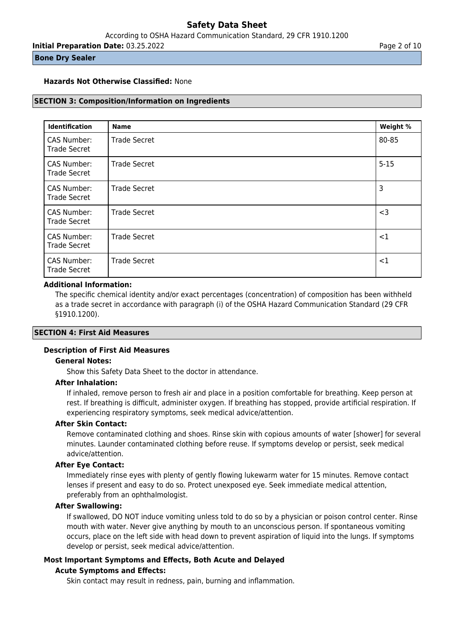**Initial Preparation Date:** 03.25.2022 **Page 2 of 10** 

## **Bone Dry Sealer**

## **Hazards Not Otherwise Classified:** None

## **SECTION 3: Composition/Information on Ingredients**

| <b>Identification</b>              | <b>Name</b>         | Weight % |
|------------------------------------|---------------------|----------|
| CAS Number:<br><b>Trade Secret</b> | <b>Trade Secret</b> | 80-85    |
| CAS Number:<br><b>Trade Secret</b> | <b>Trade Secret</b> | $5 - 15$ |
| CAS Number:<br><b>Trade Secret</b> | <b>Trade Secret</b> | 3        |
| CAS Number:<br><b>Trade Secret</b> | <b>Trade Secret</b> | $<$ 3    |
| CAS Number:<br><b>Trade Secret</b> | <b>Trade Secret</b> | $<$ 1    |
| CAS Number:<br><b>Trade Secret</b> | <b>Trade Secret</b> | $<$ 1    |

## **Additional Information:**

The specific chemical identity and/or exact percentages (concentration) of composition has been withheld as a trade secret in accordance with paragraph (i) of the OSHA Hazard Communication Standard (29 CFR §1910.1200).

# **SECTION 4: First Aid Measures**

# **Description of First Aid Measures**

# **General Notes:**

Show this Safety Data Sheet to the doctor in attendance.

#### **After Inhalation:**

If inhaled, remove person to fresh air and place in a position comfortable for breathing. Keep person at rest. If breathing is difficult, administer oxygen. If breathing has stopped, provide artificial respiration. If experiencing respiratory symptoms, seek medical advice/attention.

## **After Skin Contact:**

Remove contaminated clothing and shoes. Rinse skin with copious amounts of water [shower] for several minutes. Launder contaminated clothing before reuse. If symptoms develop or persist, seek medical advice/attention.

# **After Eye Contact:**

Immediately rinse eyes with plenty of gently flowing lukewarm water for 15 minutes. Remove contact lenses if present and easy to do so. Protect unexposed eye. Seek immediate medical attention, preferably from an ophthalmologist.

# **After Swallowing:**

If swallowed, DO NOT induce vomiting unless told to do so by a physician or poison control center. Rinse mouth with water. Never give anything by mouth to an unconscious person. If spontaneous vomiting occurs, place on the left side with head down to prevent aspiration of liquid into the lungs. If symptoms develop or persist, seek medical advice/attention.

## **Most Important Symptoms and Effects, Both Acute and Delayed**

## **Acute Symptoms and Effects:**

Skin contact may result in redness, pain, burning and inflammation.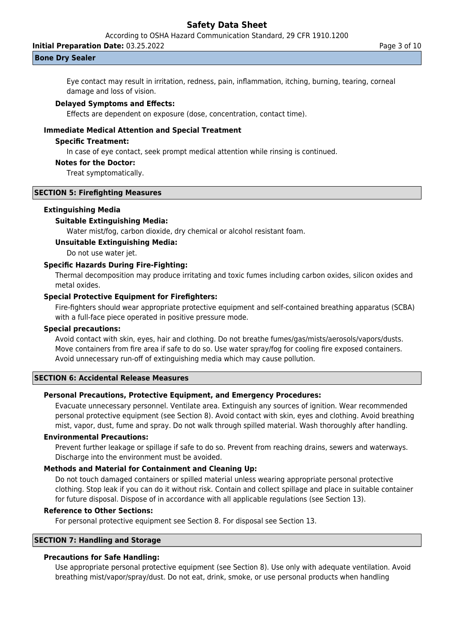According to OSHA Hazard Communication Standard, 29 CFR 1910.1200

**Initial Preparation Date:** 03.25.2022 **Page 3 of 10** 

#### **Bone Dry Sealer**

Eye contact may result in irritation, redness, pain, inflammation, itching, burning, tearing, corneal damage and loss of vision.

#### **Delayed Symptoms and Effects:**

Effects are dependent on exposure (dose, concentration, contact time).

# **Immediate Medical Attention and Special Treatment**

## **Specific Treatment:**

In case of eye contact, seek prompt medical attention while rinsing is continued.

## **Notes for the Doctor:**

Treat symptomatically.

## **SECTION 5: Firefighting Measures**

#### **Extinguishing Media**

#### **Suitable Extinguishing Media:**

Water mist/fog, carbon dioxide, dry chemical or alcohol resistant foam.

## **Unsuitable Extinguishing Media:**

Do not use water jet.

# **Specific Hazards During Fire-Fighting:**

Thermal decomposition may produce irritating and toxic fumes including carbon oxides, silicon oxides and metal oxides.

## **Special Protective Equipment for Firefighters:**

Fire-fighters should wear appropriate protective equipment and self-contained breathing apparatus (SCBA) with a full-face piece operated in positive pressure mode.

## **Special precautions:**

Avoid contact with skin, eyes, hair and clothing. Do not breathe fumes/gas/mists/aerosols/vapors/dusts. Move containers from fire area if safe to do so. Use water spray/fog for cooling fire exposed containers. Avoid unnecessary run-off of extinguishing media which may cause pollution.

#### **SECTION 6: Accidental Release Measures**

# **Personal Precautions, Protective Equipment, and Emergency Procedures:**

Evacuate unnecessary personnel. Ventilate area. Extinguish any sources of ignition. Wear recommended personal protective equipment (see Section 8). Avoid contact with skin, eyes and clothing. Avoid breathing mist, vapor, dust, fume and spray. Do not walk through spilled material. Wash thoroughly after handling.

# **Environmental Precautions:**

Prevent further leakage or spillage if safe to do so. Prevent from reaching drains, sewers and waterways. Discharge into the environment must be avoided.

# **Methods and Material for Containment and Cleaning Up:**

Do not touch damaged containers or spilled material unless wearing appropriate personal protective clothing. Stop leak if you can do it without risk. Contain and collect spillage and place in suitable container for future disposal. Dispose of in accordance with all applicable regulations (see Section 13).

## **Reference to Other Sections:**

For personal protective equipment see Section 8. For disposal see Section 13.

# **SECTION 7: Handling and Storage**

# **Precautions for Safe Handling:**

Use appropriate personal protective equipment (see Section 8). Use only with adequate ventilation. Avoid breathing mist/vapor/spray/dust. Do not eat, drink, smoke, or use personal products when handling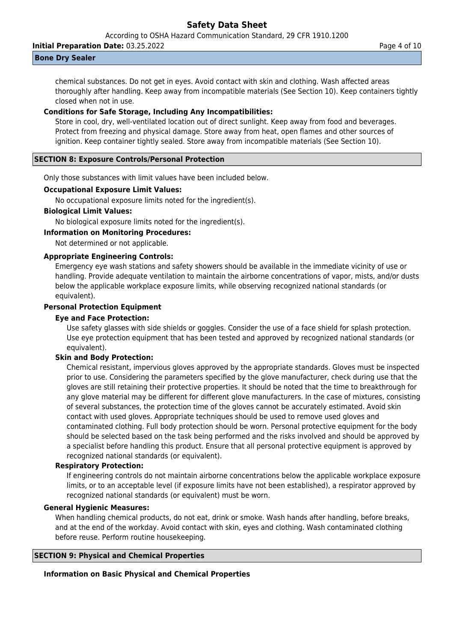According to OSHA Hazard Communication Standard, 29 CFR 1910.1200

**Initial Preparation Date:** 03.25.2022 **Page 4 of 10** 

## **Bone Dry Sealer**

chemical substances. Do not get in eyes. Avoid contact with skin and clothing. Wash affected areas thoroughly after handling. Keep away from incompatible materials (See Section 10). Keep containers tightly closed when not in use.

# **Conditions for Safe Storage, Including Any Incompatibilities:**

Store in cool, dry, well-ventilated location out of direct sunlight. Keep away from food and beverages. Protect from freezing and physical damage. Store away from heat, open flames and other sources of ignition. Keep container tightly sealed. Store away from incompatible materials (See Section 10).

# **SECTION 8: Exposure Controls/Personal Protection**

Only those substances with limit values have been included below.

# **Occupational Exposure Limit Values:**

No occupational exposure limits noted for the ingredient(s).

## **Biological Limit Values:**

No biological exposure limits noted for the ingredient(s).

# **Information on Monitoring Procedures:**

Not determined or not applicable.

## **Appropriate Engineering Controls:**

Emergency eye wash stations and safety showers should be available in the immediate vicinity of use or handling. Provide adequate ventilation to maintain the airborne concentrations of vapor, mists, and/or dusts below the applicable workplace exposure limits, while observing recognized national standards (or equivalent).

## **Personal Protection Equipment**

#### **Eye and Face Protection:**

Use safety glasses with side shields or goggles. Consider the use of a face shield for splash protection. Use eye protection equipment that has been tested and approved by recognized national standards (or equivalent).

# **Skin and Body Protection:**

Chemical resistant, impervious gloves approved by the appropriate standards. Gloves must be inspected prior to use. Considering the parameters specified by the glove manufacturer, check during use that the gloves are still retaining their protective properties. It should be noted that the time to breakthrough for any glove material may be different for different glove manufacturers. In the case of mixtures, consisting of several substances, the protection time of the gloves cannot be accurately estimated. Avoid skin contact with used gloves. Appropriate techniques should be used to remove used gloves and contaminated clothing. Full body protection should be worn. Personal protective equipment for the body should be selected based on the task being performed and the risks involved and should be approved by a specialist before handling this product. Ensure that all personal protective equipment is approved by recognized national standards (or equivalent).

## **Respiratory Protection:**

If engineering controls do not maintain airborne concentrations below the applicable workplace exposure limits, or to an acceptable level (if exposure limits have not been established), a respirator approved by recognized national standards (or equivalent) must be worn.

## **General Hygienic Measures:**

When handling chemical products, do not eat, drink or smoke. Wash hands after handling, before breaks, and at the end of the workday. Avoid contact with skin, eyes and clothing. Wash contaminated clothing before reuse. Perform routine housekeeping.

## **SECTION 9: Physical and Chemical Properties**

# **Information on Basic Physical and Chemical Properties**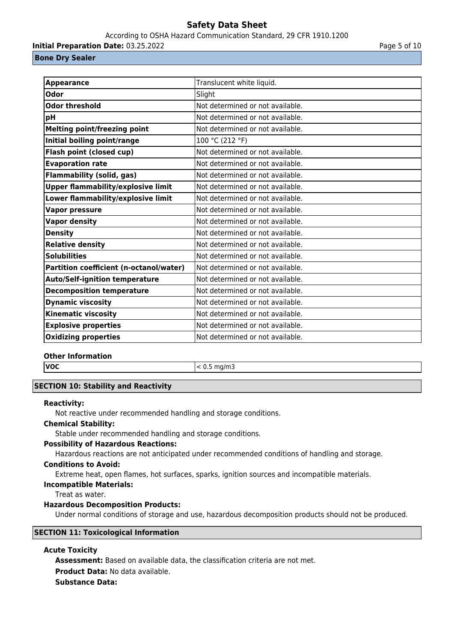## According to OSHA Hazard Communication Standard, 29 CFR 1910.1200

**Initial Preparation Date:** 03.25.2022 **Page 1 and 2018** Page 5 of 10

# **Bone Dry Sealer**

| <b>Appearance</b>                         | Translucent white liquid.        |
|-------------------------------------------|----------------------------------|
| <b>Odor</b>                               | Slight                           |
| <b>Odor threshold</b>                     | Not determined or not available. |
| рH                                        | Not determined or not available. |
| <b>Melting point/freezing point</b>       | Not determined or not available. |
| Initial boiling point/range               | 100 °C (212 °F)                  |
| <b>Flash point (closed cup)</b>           | Not determined or not available. |
| <b>Evaporation rate</b>                   | Not determined or not available. |
| <b>Flammability (solid, gas)</b>          | Not determined or not available. |
| <b>Upper flammability/explosive limit</b> | Not determined or not available. |
| Lower flammability/explosive limit        | Not determined or not available. |
| <b>Vapor pressure</b>                     | Not determined or not available. |
| <b>Vapor density</b>                      | Not determined or not available. |
| <b>Density</b>                            | Not determined or not available. |
| <b>Relative density</b>                   | Not determined or not available. |
| <b>Solubilities</b>                       | Not determined or not available. |
| Partition coefficient (n-octanol/water)   | Not determined or not available. |
| <b>Auto/Self-ignition temperature</b>     | Not determined or not available. |
| <b>Decomposition temperature</b>          | Not determined or not available. |
| <b>Dynamic viscosity</b>                  | Not determined or not available. |
| <b>Kinematic viscosity</b>                | Not determined or not available. |
| <b>Explosive properties</b>               | Not determined or not available. |
| <b>Oxidizing properties</b>               | Not determined or not available. |

# **Other Information**

**VOC**  $\vert$  < 0.5 mg/m3

# **SECTION 10: Stability and Reactivity**

# **Reactivity:**

Not reactive under recommended handling and storage conditions.

# **Chemical Stability:**

Stable under recommended handling and storage conditions.

# **Possibility of Hazardous Reactions:**

Hazardous reactions are not anticipated under recommended conditions of handling and storage.

## **Conditions to Avoid:**

Extreme heat, open flames, hot surfaces, sparks, ignition sources and incompatible materials.

# **Incompatible Materials:**

Treat as water.

# **Hazardous Decomposition Products:**

Under normal conditions of storage and use, hazardous decomposition products should not be produced.

# **SECTION 11: Toxicological Information**

# **Acute Toxicity**

**Assessment:** Based on available data, the classification criteria are not met. **Product Data:** No data available. **Substance Data:**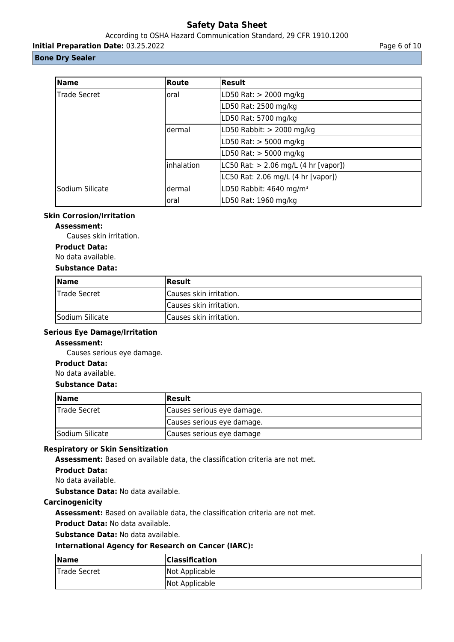According to OSHA Hazard Communication Standard, 29 CFR 1910.1200

**Initial Preparation Date:** 03.25.2022 **Page 6 of 10** 

# **Bone Dry Sealer**

| <b>Name</b>     | Route      | <b>Result</b>                          |
|-----------------|------------|----------------------------------------|
| Trade Secret    | loral      | LD50 Rat: > 2000 mg/kg                 |
|                 |            | LD50 Rat: 2500 mg/kg                   |
|                 |            | LD50 Rat: 5700 mg/kg                   |
|                 | ldermal    | LD50 Rabbit: $> 2000$ mg/kg            |
|                 |            | LD50 Rat: > 5000 mg/kg                 |
|                 |            | LD50 Rat: > 5000 mg/kg                 |
|                 | inhalation | LC50 Rat: $> 2.06$ mg/L (4 hr [vapor]) |
|                 |            | LC50 Rat: 2.06 mg/L (4 hr [vapor])     |
| Sodium Silicate | ldermal    | LD50 Rabbit: 4640 mg/m <sup>3</sup>    |
|                 | oral       | LD50 Rat: 1960 mg/kg                   |

# **Skin Corrosion/Irritation**

# **Assessment:**

Causes skin irritation.

# **Product Data:**

No data available.

## **Substance Data:**

| <b>Name</b>     | Result                  |
|-----------------|-------------------------|
| Trade Secret    | Causes skin irritation. |
|                 | Causes skin irritation. |
| Sodium Silicate | Causes skin irritation. |

# **Serious Eye Damage/Irritation**

## **Assessment:**

Causes serious eye damage.

# **Product Data:**

# No data available.

# **Substance Data:**

| <b>Name</b>         | <b>Result</b>              |
|---------------------|----------------------------|
| <b>Trade Secret</b> | Causes serious eye damage. |
|                     | Causes serious eye damage. |
| Sodium Silicate     | Causes serious eye damage  |

## **Respiratory or Skin Sensitization**

**Assessment:** Based on available data, the classification criteria are not met.

**Product Data:**

No data available.

**Substance Data:** No data available.

# **Carcinogenicity**

**Assessment:** Based on available data, the classification criteria are not met.

**Product Data:** No data available.

**Substance Data:** No data available.

# **International Agency for Research on Cancer (IARC):**

| Name         | <b>Classification</b> |
|--------------|-----------------------|
| Trade Secret | Not Applicable        |
|              | Not Applicable        |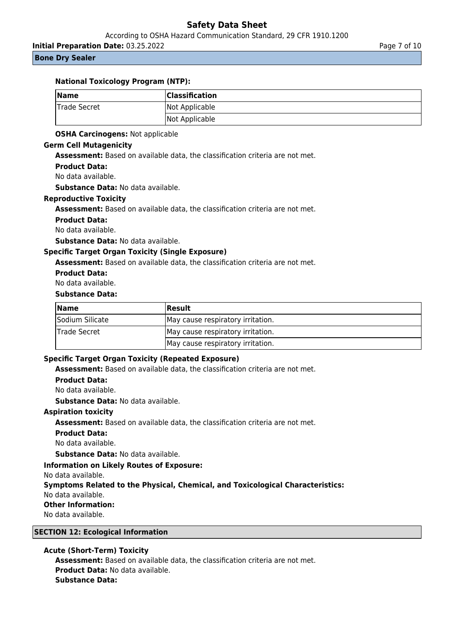According to OSHA Hazard Communication Standard, 29 CFR 1910.1200

**Initial Preparation Date:** 03.25.2022 **Page 7 of 10** 

# **Bone Dry Sealer**

## **National Toxicology Program (NTP):**

| $\sqrt{\mathsf{Name}}$ | <b>Classification</b> |
|------------------------|-----------------------|
| Trade Secret           | Not Applicable        |
|                        | Not Applicable        |

# **OSHA Carcinogens:** Not applicable

# **Germ Cell Mutagenicity**

**Assessment:** Based on available data, the classification criteria are not met.

## **Product Data:**

No data available.

**Substance Data:** No data available.

#### **Reproductive Toxicity**

**Assessment:** Based on available data, the classification criteria are not met.

## **Product Data:**

No data available.

**Substance Data:** No data available.

## **Specific Target Organ Toxicity (Single Exposure)**

**Assessment:** Based on available data, the classification criteria are not met.

#### **Product Data:**

No data available.

#### **Substance Data:**

| <b>Name</b>     | Result                            |
|-----------------|-----------------------------------|
| Sodium Silicate | May cause respiratory irritation. |
| Trade Secret    | May cause respiratory irritation. |
|                 | May cause respiratory irritation. |

## **Specific Target Organ Toxicity (Repeated Exposure)**

**Assessment:** Based on available data, the classification criteria are not met.

## **Product Data:**

No data available.

**Substance Data:** No data available.

# **Aspiration toxicity**

**Assessment:** Based on available data, the classification criteria are not met.

## **Product Data:**

No data available.

**Substance Data:** No data available.

**Information on Likely Routes of Exposure:**

No data available.

**Symptoms Related to the Physical, Chemical, and Toxicological Characteristics:** No data available.

**Other Information:**

No data available.

# **SECTION 12: Ecological Information**

# **Acute (Short-Term) Toxicity**

**Assessment:** Based on available data, the classification criteria are not met. **Product Data:** No data available. **Substance Data:**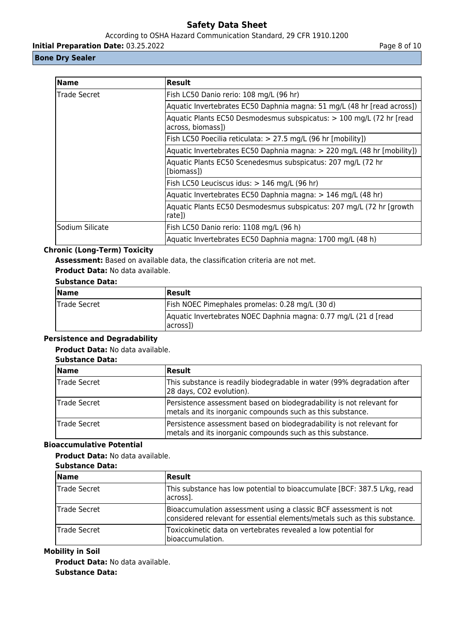According to OSHA Hazard Communication Standard, 29 CFR 1910.1200

**Initial Preparation Date:** 03.25.2022 **Page 8 of 10** 

# **Bone Dry Sealer**

| Name                | <b>Result</b>                                                                              |
|---------------------|--------------------------------------------------------------------------------------------|
| <b>Trade Secret</b> | Fish LC50 Danio rerio: 108 mg/L (96 hr)                                                    |
|                     | Aquatic Invertebrates EC50 Daphnia magna: 51 mg/L (48 hr [read across])                    |
|                     | Aquatic Plants EC50 Desmodesmus subspicatus: > 100 mg/L (72 hr [read]<br>across, biomass]) |
|                     | Fish LC50 Poecilia reticulata: > 27.5 mg/L (96 hr [mobility])                              |
|                     | Aquatic Invertebrates EC50 Daphnia magna: > 220 mg/L (48 hr [mobility])                    |
|                     | Aquatic Plants EC50 Scenedesmus subspicatus: 207 mg/L (72 hr<br>[biomass])                 |
|                     | Fish LC50 Leuciscus idus: > 146 mg/L (96 hr)                                               |
|                     | Aquatic Invertebrates EC50 Daphnia magna: > 146 mg/L (48 hr)                               |
|                     | Aquatic Plants EC50 Desmodesmus subspicatus: 207 mg/L (72 hr [growth]<br>rate])            |
| lSodium Silicate    | Fish LC50 Danio rerio: 1108 mg/L (96 h)                                                    |
|                     | Aquatic Invertebrates EC50 Daphnia magna: 1700 mg/L (48 h)                                 |

# **Chronic (Long-Term) Toxicity**

**Assessment:** Based on available data, the classification criteria are not met.

**Product Data:** No data available.

# **Substance Data:**

| <b>Name</b>  | Result                                                                                    |
|--------------|-------------------------------------------------------------------------------------------|
| Trade Secret | Fish NOEC Pimephales promelas: 0.28 mg/L (30 d)                                           |
|              | Aquatic Invertebrates NOEC Daphnia magna: 0.77 mg/L (21 d [read]<br>across <sub>1</sub> ) |

# **Persistence and Degradability**

# **Product Data:** No data available.

# **Substance Data:**

| Name         | <b>Result</b>                                                                                                                      |
|--------------|------------------------------------------------------------------------------------------------------------------------------------|
| Trade Secret | This substance is readily biodegradable in water (99% degradation after<br>28 days, CO2 evolution).                                |
| Trade Secret | Persistence assessment based on biodegradability is not relevant for<br>metals and its inorganic compounds such as this substance. |
| Trade Secret | Persistence assessment based on biodegradability is not relevant for<br>metals and its inorganic compounds such as this substance. |

# **Bioaccumulative Potential**

# **Product Data:** No data available.

| <b>Substance Data:</b> |  |
|------------------------|--|
|------------------------|--|

| <b>Name</b>  | <b>Result</b>                                                                                                                                 |
|--------------|-----------------------------------------------------------------------------------------------------------------------------------------------|
| Trade Secret | This substance has low potential to bioaccumulate [BCF: 387.5 L/kg, read<br>across].                                                          |
| Trade Secret | Bioaccumulation assessment using a classic BCF assessment is not<br>considered relevant for essential elements/metals such as this substance. |
| Trade Secret | Toxicokinetic data on vertebrates revealed a low potential for<br>bioaccumulation.                                                            |

# **Mobility in Soil**

**Product Data:** No data available. **Substance Data:**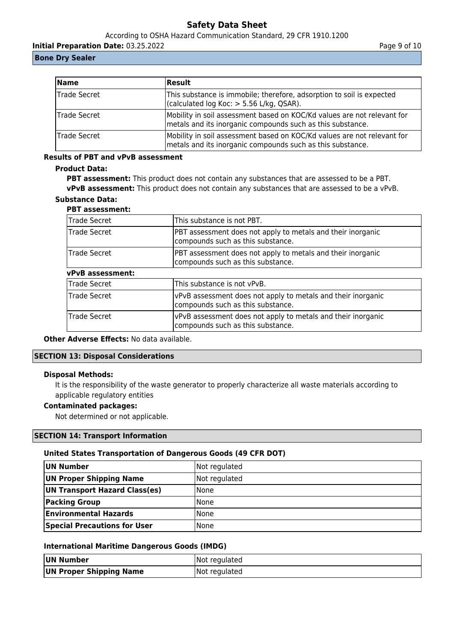According to OSHA Hazard Communication Standard, 29 CFR 1910.1200

**Initial Preparation Date:** 03.25.2022 **Page 9 of 10** 

# **Bone Dry Sealer**

| <b>Name</b>   | <b>Result</b>                                                                                                                         |
|---------------|---------------------------------------------------------------------------------------------------------------------------------------|
| Trade Secret  | This substance is immobile; therefore, adsorption to soil is expected<br>$\vert$ (calculated log Koc: > 5.56 L/kg, QSAR).             |
| Trade Secret  | Mobility in soil assessment based on KOC/Kd values are not relevant for<br>metals and its inorganic compounds such as this substance. |
| lTrade Secret | Mobility in soil assessment based on KOC/Kd values are not relevant for<br>metals and its inorganic compounds such as this substance. |

# **Results of PBT and vPvB assessment**

# **Product Data:**

**PBT assessment:** This product does not contain any substances that are assessed to be a PBT. **vPvB assessment:** This product does not contain any substances that are assessed to be a vPvB.

# **Substance Data:**

# **PBT assessment:**

| Trade Secret            | This substance is not PBT.                                                                        |
|-------------------------|---------------------------------------------------------------------------------------------------|
| Trade Secret            | PBT assessment does not apply to metals and their inorganic<br>compounds such as this substance.  |
| Trade Secret            | PBT assessment does not apply to metals and their inorganic<br>compounds such as this substance.  |
| <b>vPvB</b> assessment: |                                                                                                   |
| Trade Secret            | This substance is not vPvB.                                                                       |
| <b>Trade Secret</b>     | vPvB assessment does not apply to metals and their inorganic<br>compounds such as this substance. |
| Trade Secret            | vPvB assessment does not apply to metals and their inorganic<br>compounds such as this substance. |

**Other Adverse Effects: No data available.** 

# **SECTION 13: Disposal Considerations**

## **Disposal Methods:**

It is the responsibility of the waste generator to properly characterize all waste materials according to applicable regulatory entities

# **Contaminated packages:**

Not determined or not applicable.

# **SECTION 14: Transport Information**

## **United States Transportation of Dangerous Goods (49 CFR DOT)**

| UN Number                           | Not regulated |
|-------------------------------------|---------------|
| UN Proper Shipping Name             | Not regulated |
| UN Transport Hazard Class(es)       | None          |
| <b>Packing Group</b>                | None          |
| <b>Environmental Hazards</b>        | l None        |
| <b>Special Precautions for User</b> | l None        |

# **International Maritime Dangerous Goods (IMDG)**

| UN Number               | Not regulated |
|-------------------------|---------------|
| UN Proper Shipping Name | Not regulated |